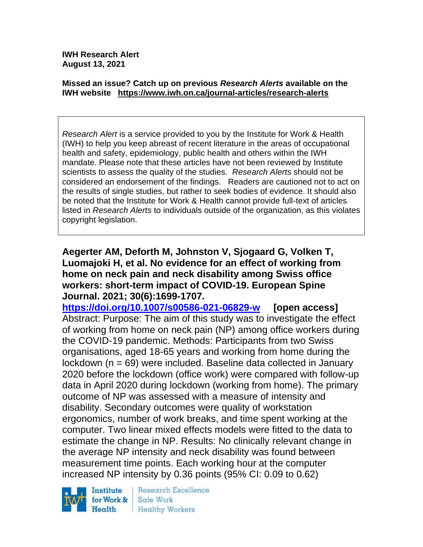**IWH Research Alert August 13, 2021**

#### **Missed an issue? Catch up on previous** *Research Alerts* **available on the [IWH website](http://www.iwh.on.ca/research-alerts) <https://www.iwh.on.ca/journal-articles/research-alerts>**

*Research Alert* is a service provided to you by the Institute for Work & Health (IWH) to help you keep abreast of recent literature in the areas of occupational health and safety, epidemiology, public health and others within the IWH mandate. Please note that these articles have not been reviewed by Institute scientists to assess the quality of the studies. *Research Alerts* should not be considered an endorsement of the findings. Readers are cautioned not to act on the results of single studies, but rather to seek bodies of evidence. It should also be noted that the Institute for Work & Health cannot provide full-text of articles listed in *Research Alerts* to individuals outside of the organization, as this violates copyright legislation.

**Aegerter AM, Deforth M, Johnston V, Sjogaard G, Volken T, Luomajoki H, et al. No evidence for an effect of working from home on neck pain and neck disability among Swiss office workers: short-term impact of COVID-19. European Spine Journal. 2021; 30(6):1699-1707.** 

**<https://doi.org/10.1007/s00586-021-06829-w> [open access]** Abstract: Purpose: The aim of this study was to investigate the effect of working from home on neck pain (NP) among office workers during the COVID-19 pandemic. Methods: Participants from two Swiss organisations, aged 18-65 years and working from home during the lockdown (n = 69) were included. Baseline data collected in January 2020 before the lockdown (office work) were compared with follow-up data in April 2020 during lockdown (working from home). The primary outcome of NP was assessed with a measure of intensity and disability. Secondary outcomes were quality of workstation ergonomics, number of work breaks, and time spent working at the computer. Two linear mixed effects models were fitted to the data to estimate the change in NP. Results: No clinically relevant change in the average NP intensity and neck disability was found between measurement time points. Each working hour at the computer increased NP intensity by 0.36 points (95% CI: 0.09 to 0.62)



Research Excellence Safe Work **Healthy Workers**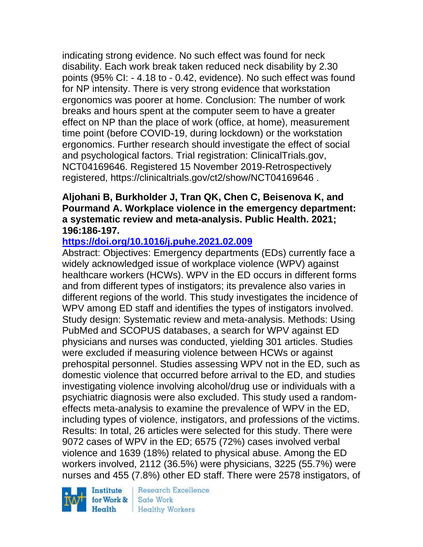indicating strong evidence. No such effect was found for neck disability. Each work break taken reduced neck disability by 2.30 points (95% CI: - 4.18 to - 0.42, evidence). No such effect was found for NP intensity. There is very strong evidence that workstation ergonomics was poorer at home. Conclusion: The number of work breaks and hours spent at the computer seem to have a greater effect on NP than the place of work (office, at home), measurement time point (before COVID-19, during lockdown) or the workstation ergonomics. Further research should investigate the effect of social and psychological factors. Trial registration: ClinicalTrials.gov, NCT04169646. Registered 15 November 2019-Retrospectively registered, https://clinicaltrials.gov/ct2/show/NCT04169646 .

## **Aljohani B, Burkholder J, Tran QK, Chen C, Beisenova K, and Pourmand A. Workplace violence in the emergency department: a systematic review and meta-analysis. Public Health. 2021; 196:186-197.**

# **<https://doi.org/10.1016/j.puhe.2021.02.009>**

Abstract: Objectives: Emergency departments (EDs) currently face a widely acknowledged issue of workplace violence (WPV) against healthcare workers (HCWs). WPV in the ED occurs in different forms and from different types of instigators; its prevalence also varies in different regions of the world. This study investigates the incidence of WPV among ED staff and identifies the types of instigators involved. Study design: Systematic review and meta-analysis. Methods: Using PubMed and SCOPUS databases, a search for WPV against ED physicians and nurses was conducted, yielding 301 articles. Studies were excluded if measuring violence between HCWs or against prehospital personnel. Studies assessing WPV not in the ED, such as domestic violence that occurred before arrival to the ED, and studies investigating violence involving alcohol/drug use or individuals with a psychiatric diagnosis were also excluded. This study used a randomeffects meta-analysis to examine the prevalence of WPV in the ED, including types of violence, instigators, and professions of the victims. Results: In total, 26 articles were selected for this study. There were 9072 cases of WPV in the ED; 6575 (72%) cases involved verbal violence and 1639 (18%) related to physical abuse. Among the ED workers involved, 2112 (36.5%) were physicians, 3225 (55.7%) were nurses and 455 (7.8%) other ED staff. There were 2578 instigators, of

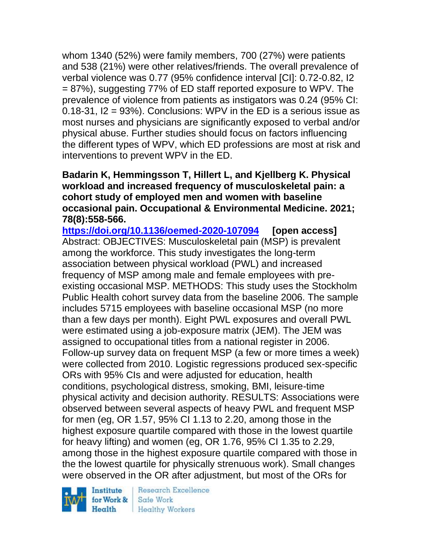whom 1340 (52%) were family members, 700 (27%) were patients and 538 (21%) were other relatives/friends. The overall prevalence of verbal violence was 0.77 (95% confidence interval [CI]: 0.72-0.82, I2 = 87%), suggesting 77% of ED staff reported exposure to WPV. The prevalence of violence from patients as instigators was 0.24 (95% CI: 0.18-31, I2 = 93%). Conclusions: WPV in the ED is a serious issue as most nurses and physicians are significantly exposed to verbal and/or physical abuse. Further studies should focus on factors influencing the different types of WPV, which ED professions are most at risk and interventions to prevent WPV in the ED.

**Badarin K, Hemmingsson T, Hillert L, and Kjellberg K. Physical workload and increased frequency of musculoskeletal pain: a cohort study of employed men and women with baseline occasional pain. Occupational & Environmental Medicine. 2021; 78(8):558-566.** 

**<https://doi.org/10.1136/oemed-2020-107094> [open access]** Abstract: OBJECTIVES: Musculoskeletal pain (MSP) is prevalent among the workforce. This study investigates the long-term association between physical workload (PWL) and increased frequency of MSP among male and female employees with preexisting occasional MSP. METHODS: This study uses the Stockholm Public Health cohort survey data from the baseline 2006. The sample includes 5715 employees with baseline occasional MSP (no more than a few days per month). Eight PWL exposures and overall PWL were estimated using a job-exposure matrix (JEM). The JEM was assigned to occupational titles from a national register in 2006. Follow-up survey data on frequent MSP (a few or more times a week) were collected from 2010. Logistic regressions produced sex-specific ORs with 95% CIs and were adjusted for education, health conditions, psychological distress, smoking, BMI, leisure-time physical activity and decision authority. RESULTS: Associations were observed between several aspects of heavy PWL and frequent MSP for men (eg, OR 1.57, 95% CI 1.13 to 2.20, among those in the highest exposure quartile compared with those in the lowest quartile for heavy lifting) and women (eg, OR 1.76, 95% CI 1.35 to 2.29, among those in the highest exposure quartile compared with those in the the lowest quartile for physically strenuous work). Small changes were observed in the OR after adjustment, but most of the ORs for

Institute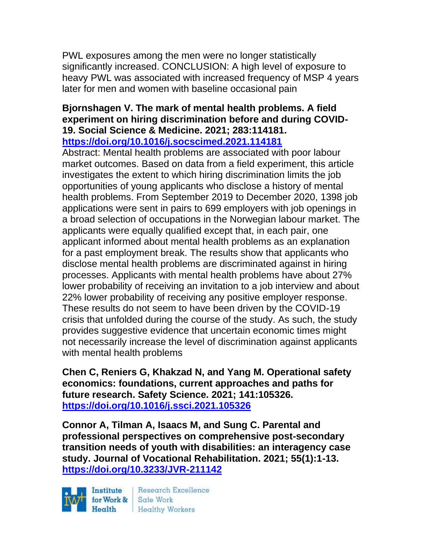PWL exposures among the men were no longer statistically significantly increased. CONCLUSION: A high level of exposure to heavy PWL was associated with increased frequency of MSP 4 years later for men and women with baseline occasional pain

#### **Bjornshagen V. The mark of mental health problems. A field experiment on hiring discrimination before and during COVID-19. Social Science & Medicine. 2021; 283:114181. <https://doi.org/10.1016/j.socscimed.2021.114181>**

Abstract: Mental health problems are associated with poor labour market outcomes. Based on data from a field experiment, this article investigates the extent to which hiring discrimination limits the job opportunities of young applicants who disclose a history of mental health problems. From September 2019 to December 2020, 1398 job applications were sent in pairs to 699 employers with job openings in a broad selection of occupations in the Norwegian labour market. The applicants were equally qualified except that, in each pair, one applicant informed about mental health problems as an explanation for a past employment break. The results show that applicants who disclose mental health problems are discriminated against in hiring processes. Applicants with mental health problems have about 27% lower probability of receiving an invitation to a job interview and about 22% lower probability of receiving any positive employer response. These results do not seem to have been driven by the COVID-19 crisis that unfolded during the course of the study. As such, the study provides suggestive evidence that uncertain economic times might not necessarily increase the level of discrimination against applicants with mental health problems

**Chen C, Reniers G, Khakzad N, and Yang M. Operational safety economics: foundations, current approaches and paths for future research. Safety Science. 2021; 141:105326. <https://doi.org/10.1016/j.ssci.2021.105326>** 

**Connor A, Tilman A, Isaacs M, and Sung C. Parental and professional perspectives on comprehensive post-secondary transition needs of youth with disabilities: an interagency case study. Journal of Vocational Rehabilitation. 2021; 55(1):1-13. <https://doi.org/10.3233/JVR-211142>** 

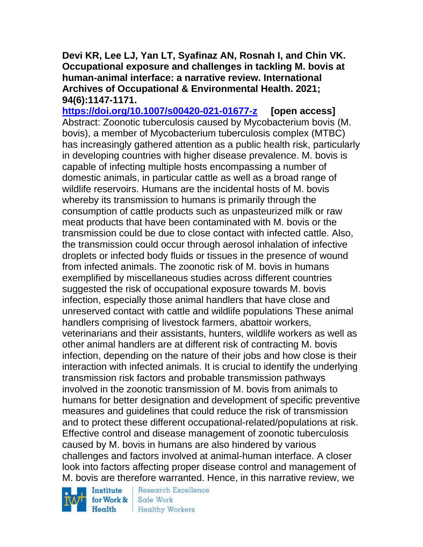**Devi KR, Lee LJ, Yan LT, Syafinaz AN, Rosnah I, and Chin VK. Occupational exposure and challenges in tackling M. bovis at human-animal interface: a narrative review. International Archives of Occupational & Environmental Health. 2021; 94(6):1147-1171.** 

**<https://doi.org/10.1007/s00420-021-01677-z> [open access]** Abstract: Zoonotic tuberculosis caused by Mycobacterium bovis (M. bovis), a member of Mycobacterium tuberculosis complex (MTBC) has increasingly gathered attention as a public health risk, particularly in developing countries with higher disease prevalence. M. bovis is capable of infecting multiple hosts encompassing a number of domestic animals, in particular cattle as well as a broad range of wildlife reservoirs. Humans are the incidental hosts of M. bovis whereby its transmission to humans is primarily through the consumption of cattle products such as unpasteurized milk or raw meat products that have been contaminated with M. bovis or the transmission could be due to close contact with infected cattle. Also, the transmission could occur through aerosol inhalation of infective droplets or infected body fluids or tissues in the presence of wound from infected animals. The zoonotic risk of M. bovis in humans exemplified by miscellaneous studies across different countries suggested the risk of occupational exposure towards M. bovis infection, especially those animal handlers that have close and unreserved contact with cattle and wildlife populations These animal handlers comprising of livestock farmers, abattoir workers, veterinarians and their assistants, hunters, wildlife workers as well as other animal handlers are at different risk of contracting M. bovis infection, depending on the nature of their jobs and how close is their interaction with infected animals. It is crucial to identify the underlying transmission risk factors and probable transmission pathways involved in the zoonotic transmission of M. bovis from animals to humans for better designation and development of specific preventive measures and guidelines that could reduce the risk of transmission and to protect these different occupational-related/populations at risk. Effective control and disease management of zoonotic tuberculosis caused by M. bovis in humans are also hindered by various challenges and factors involved at animal-human interface. A closer look into factors affecting proper disease control and management of M. bovis are therefore warranted. Hence, in this narrative review, we

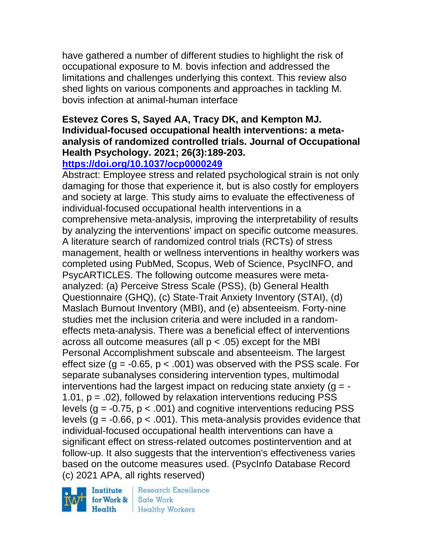have gathered a number of different studies to highlight the risk of occupational exposure to M. bovis infection and addressed the limitations and challenges underlying this context. This review also shed lights on various components and approaches in tackling M. bovis infection at animal-human interface

# **Estevez Cores S, Sayed AA, Tracy DK, and Kempton MJ. Individual-focused occupational health interventions: a metaanalysis of randomized controlled trials. Journal of Occupational Health Psychology. 2021; 26(3):189-203.**

# **<https://doi.org/10.1037/ocp0000249>**

Abstract: Employee stress and related psychological strain is not only damaging for those that experience it, but is also costly for employers and society at large. This study aims to evaluate the effectiveness of individual-focused occupational health interventions in a comprehensive meta-analysis, improving the interpretability of results by analyzing the interventions' impact on specific outcome measures. A literature search of randomized control trials (RCTs) of stress management, health or wellness interventions in healthy workers was completed using PubMed, Scopus, Web of Science, PsycINFO, and PsycARTICLES. The following outcome measures were metaanalyzed: (a) Perceive Stress Scale (PSS), (b) General Health Questionnaire (GHQ), (c) State-Trait Anxiety Inventory (STAI), (d) Maslach Burnout Inventory (MBI), and (e) absenteeism. Forty-nine studies met the inclusion criteria and were included in a randomeffects meta-analysis. There was a beneficial effect of interventions across all outcome measures (all  $p < .05$ ) except for the MBI Personal Accomplishment subscale and absenteeism. The largest effect size  $(g = -0.65, p < .001)$  was observed with the PSS scale. For separate subanalyses considering intervention types, multimodal interventions had the largest impact on reducing state anxiety  $(g = -$ 1.01,  $p = .02$ ), followed by relaxation interventions reducing PSS levels ( $g = -0.75$ ,  $p < .001$ ) and cognitive interventions reducing PSS levels ( $g = -0.66$ ,  $p < .001$ ). This meta-analysis provides evidence that individual-focused occupational health interventions can have a significant effect on stress-related outcomes postintervention and at follow-up. It also suggests that the intervention's effectiveness varies based on the outcome measures used. (PsycInfo Database Record (c) 2021 APA, all rights reserved)

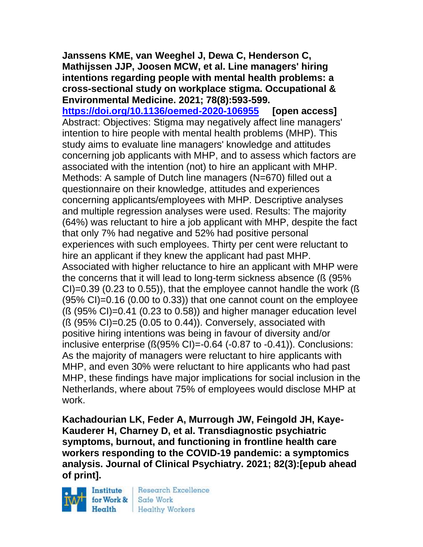**Janssens KME, van Weeghel J, Dewa C, Henderson C, Mathijssen JJP, Joosen MCW, et al. Line managers' hiring intentions regarding people with mental health problems: a cross-sectional study on workplace stigma. Occupational & Environmental Medicine. 2021; 78(8):593-599.** 

**<https://doi.org/10.1136/oemed-2020-106955> [open access]** Abstract: Objectives: Stigma may negatively affect line managers' intention to hire people with mental health problems (MHP). This study aims to evaluate line managers' knowledge and attitudes concerning job applicants with MHP, and to assess which factors are associated with the intention (not) to hire an applicant with MHP. Methods: A sample of Dutch line managers (N=670) filled out a questionnaire on their knowledge, attitudes and experiences concerning applicants/employees with MHP. Descriptive analyses and multiple regression analyses were used. Results: The majority (64%) was reluctant to hire a job applicant with MHP, despite the fact that only 7% had negative and 52% had positive personal experiences with such employees. Thirty per cent were reluctant to hire an applicant if they knew the applicant had past MHP. Associated with higher reluctance to hire an applicant with MHP were the concerns that it will lead to long-term sickness absence (ß (95%  $Cl$ =0.39 (0.23 to 0.55)), that the employee cannot handle the work ( $\beta$  $(95\% \text{ Cl})$ =0.16 (0.00 to 0.33)) that one cannot count on the employee  $(S (95\% CI)=0.41 (0.23 to 0.58))$  and higher manager education level (ß (95% CI)=0.25 (0.05 to 0.44)). Conversely, associated with positive hiring intentions was being in favour of diversity and/or inclusive enterprise  $(S(95\% \text{ Cl}) = 0.64 (-0.87 \text{ to } -0.41)).$  Conclusions: As the majority of managers were reluctant to hire applicants with MHP, and even 30% were reluctant to hire applicants who had past MHP, these findings have major implications for social inclusion in the Netherlands, where about 75% of employees would disclose MHP at work.

**Kachadourian LK, Feder A, Murrough JW, Feingold JH, Kaye-Kauderer H, Charney D, et al. Transdiagnostic psychiatric symptoms, burnout, and functioning in frontline health care workers responding to the COVID-19 pandemic: a symptomics analysis. Journal of Clinical Psychiatry. 2021; 82(3):[epub ahead of print].**

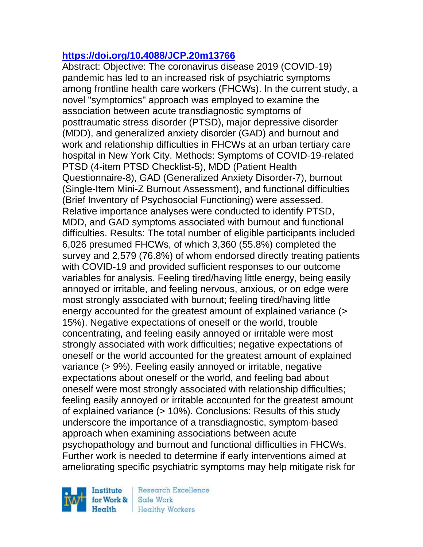# **<https://doi.org/10.4088/JCP.20m13766>**

Abstract: Objective: The coronavirus disease 2019 (COVID-19) pandemic has led to an increased risk of psychiatric symptoms among frontline health care workers (FHCWs). In the current study, a novel "symptomics" approach was employed to examine the association between acute transdiagnostic symptoms of posttraumatic stress disorder (PTSD), major depressive disorder (MDD), and generalized anxiety disorder (GAD) and burnout and work and relationship difficulties in FHCWs at an urban tertiary care hospital in New York City. Methods: Symptoms of COVID-19-related PTSD (4-item PTSD Checklist-5), MDD (Patient Health Questionnaire-8), GAD (Generalized Anxiety Disorder-7), burnout (Single-Item Mini-Z Burnout Assessment), and functional difficulties (Brief Inventory of Psychosocial Functioning) were assessed. Relative importance analyses were conducted to identify PTSD, MDD, and GAD symptoms associated with burnout and functional difficulties. Results: The total number of eligible participants included 6,026 presumed FHCWs, of which 3,360 (55.8%) completed the survey and 2,579 (76.8%) of whom endorsed directly treating patients with COVID-19 and provided sufficient responses to our outcome variables for analysis. Feeling tired/having little energy, being easily annoyed or irritable, and feeling nervous, anxious, or on edge were most strongly associated with burnout; feeling tired/having little energy accounted for the greatest amount of explained variance (> 15%). Negative expectations of oneself or the world, trouble concentrating, and feeling easily annoyed or irritable were most strongly associated with work difficulties; negative expectations of oneself or the world accounted for the greatest amount of explained variance (> 9%). Feeling easily annoyed or irritable, negative expectations about oneself or the world, and feeling bad about oneself were most strongly associated with relationship difficulties; feeling easily annoyed or irritable accounted for the greatest amount of explained variance (> 10%). Conclusions: Results of this study underscore the importance of a transdiagnostic, symptom-based approach when examining associations between acute psychopathology and burnout and functional difficulties in FHCWs. Further work is needed to determine if early interventions aimed at ameliorating specific psychiatric symptoms may help mitigate risk for

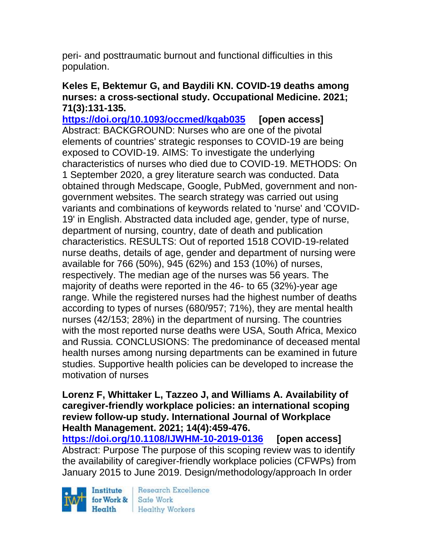peri- and posttraumatic burnout and functional difficulties in this population.

## **Keles E, Bektemur G, and Baydili KN. COVID-19 deaths among nurses: a cross-sectional study. Occupational Medicine. 2021; 71(3):131-135.**

**<https://doi.org/10.1093/occmed/kqab035> [open access]** Abstract: BACKGROUND: Nurses who are one of the pivotal elements of countries' strategic responses to COVID-19 are being exposed to COVID-19. AIMS: To investigate the underlying characteristics of nurses who died due to COVID-19. METHODS: On 1 September 2020, a grey literature search was conducted. Data obtained through Medscape, Google, PubMed, government and nongovernment websites. The search strategy was carried out using variants and combinations of keywords related to 'nurse' and 'COVID-19' in English. Abstracted data included age, gender, type of nurse, department of nursing, country, date of death and publication characteristics. RESULTS: Out of reported 1518 COVID-19-related nurse deaths, details of age, gender and department of nursing were available for 766 (50%), 945 (62%) and 153 (10%) of nurses, respectively. The median age of the nurses was 56 years. The majority of deaths were reported in the 46- to 65 (32%)-year age range. While the registered nurses had the highest number of deaths according to types of nurses (680/957; 71%), they are mental health nurses (42/153; 28%) in the department of nursing. The countries with the most reported nurse deaths were USA, South Africa, Mexico and Russia. CONCLUSIONS: The predominance of deceased mental health nurses among nursing departments can be examined in future studies. Supportive health policies can be developed to increase the motivation of nurses

#### **Lorenz F, Whittaker L, Tazzeo J, and Williams A. Availability of caregiver-friendly workplace policies: an international scoping review follow-up study. International Journal of Workplace Health Management. 2021; 14(4):459-476.**

**<https://doi.org/10.1108/IJWHM-10-2019-0136> [open access]** Abstract: Purpose The purpose of this scoping review was to identify the availability of caregiver-friendly workplace policies (CFWPs) from January 2015 to June 2019. Design/methodology/approach In order

Institute Health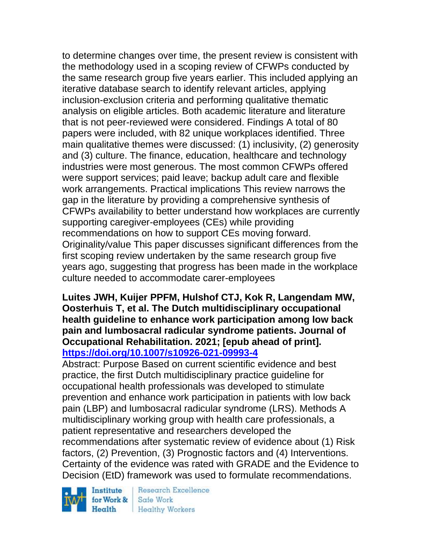to determine changes over time, the present review is consistent with the methodology used in a scoping review of CFWPs conducted by the same research group five years earlier. This included applying an iterative database search to identify relevant articles, applying inclusion-exclusion criteria and performing qualitative thematic analysis on eligible articles. Both academic literature and literature that is not peer-reviewed were considered. Findings A total of 80 papers were included, with 82 unique workplaces identified. Three main qualitative themes were discussed: (1) inclusivity, (2) generosity and (3) culture. The finance, education, healthcare and technology industries were most generous. The most common CFWPs offered were support services; paid leave; backup adult care and flexible work arrangements. Practical implications This review narrows the gap in the literature by providing a comprehensive synthesis of CFWPs availability to better understand how workplaces are currently supporting caregiver-employees (CEs) while providing recommendations on how to support CEs moving forward. Originality/value This paper discusses significant differences from the first scoping review undertaken by the same research group five years ago, suggesting that progress has been made in the workplace culture needed to accommodate carer-employees

## **Luites JWH, Kuijer PPFM, Hulshof CTJ, Kok R, Langendam MW, Oosterhuis T, et al. The Dutch multidisciplinary occupational health guideline to enhance work participation among low back pain and lumbosacral radicular syndrome patients. Journal of Occupational Rehabilitation. 2021; [epub ahead of print]. <https://doi.org/10.1007/s10926-021-09993-4>**

Abstract: Purpose Based on current scientific evidence and best practice, the first Dutch multidisciplinary practice guideline for occupational health professionals was developed to stimulate prevention and enhance work participation in patients with low back pain (LBP) and lumbosacral radicular syndrome (LRS). Methods A multidisciplinary working group with health care professionals, a patient representative and researchers developed the recommendations after systematic review of evidence about (1) Risk factors, (2) Prevention, (3) Prognostic factors and (4) Interventions. Certainty of the evidence was rated with GRADE and the Evidence to Decision (EtD) framework was used to formulate recommendations.

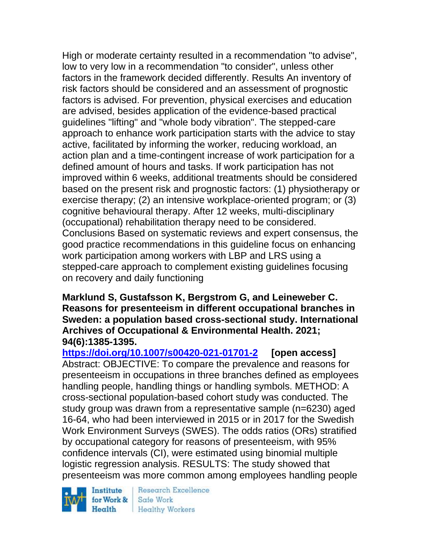High or moderate certainty resulted in a recommendation "to advise", low to very low in a recommendation "to consider", unless other factors in the framework decided differently. Results An inventory of risk factors should be considered and an assessment of prognostic factors is advised. For prevention, physical exercises and education are advised, besides application of the evidence-based practical guidelines "lifting" and "whole body vibration". The stepped-care approach to enhance work participation starts with the advice to stay active, facilitated by informing the worker, reducing workload, an action plan and a time-contingent increase of work participation for a defined amount of hours and tasks. If work participation has not improved within 6 weeks, additional treatments should be considered based on the present risk and prognostic factors: (1) physiotherapy or exercise therapy; (2) an intensive workplace-oriented program; or (3) cognitive behavioural therapy. After 12 weeks, multi-disciplinary (occupational) rehabilitation therapy need to be considered. Conclusions Based on systematic reviews and expert consensus, the good practice recommendations in this guideline focus on enhancing work participation among workers with LBP and LRS using a stepped-care approach to complement existing guidelines focusing on recovery and daily functioning

## **Marklund S, Gustafsson K, Bergstrom G, and Leineweber C. Reasons for presenteeism in different occupational branches in Sweden: a population based cross-sectional study. International Archives of Occupational & Environmental Health. 2021; 94(6):1385-1395.**

**<https://doi.org/10.1007/s00420-021-01701-2> [open access]** Abstract: OBJECTIVE: To compare the prevalence and reasons for presenteeism in occupations in three branches defined as employees handling people, handling things or handling symbols. METHOD: A cross-sectional population-based cohort study was conducted. The study group was drawn from a representative sample (n=6230) aged 16-64, who had been interviewed in 2015 or in 2017 for the Swedish Work Environment Surveys (SWES). The odds ratios (ORs) stratified by occupational category for reasons of presenteeism, with 95% confidence intervals (CI), were estimated using binomial multiple logistic regression analysis. RESULTS: The study showed that presenteeism was more common among employees handling people

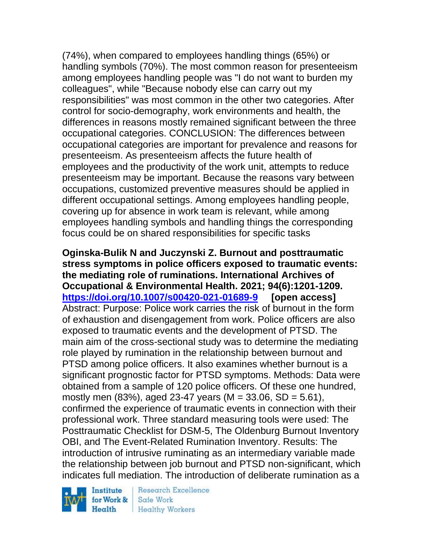(74%), when compared to employees handling things (65%) or handling symbols (70%). The most common reason for presenteeism among employees handling people was "I do not want to burden my colleagues", while "Because nobody else can carry out my responsibilities" was most common in the other two categories. After control for socio-demography, work environments and health, the differences in reasons mostly remained significant between the three occupational categories. CONCLUSION: The differences between occupational categories are important for prevalence and reasons for presenteeism. As presenteeism affects the future health of employees and the productivity of the work unit, attempts to reduce presenteeism may be important. Because the reasons vary between occupations, customized preventive measures should be applied in different occupational settings. Among employees handling people, covering up for absence in work team is relevant, while among employees handling symbols and handling things the corresponding focus could be on shared responsibilities for specific tasks

**Oginska-Bulik N and Juczynski Z. Burnout and posttraumatic stress symptoms in police officers exposed to traumatic events: the mediating role of ruminations. International Archives of Occupational & Environmental Health. 2021; 94(6):1201-1209. <https://doi.org/10.1007/s00420-021-01689-9> [open access]** Abstract: Purpose: Police work carries the risk of burnout in the form of exhaustion and disengagement from work. Police officers are also exposed to traumatic events and the development of PTSD. The main aim of the cross-sectional study was to determine the mediating role played by rumination in the relationship between burnout and PTSD among police officers. It also examines whether burnout is a significant prognostic factor for PTSD symptoms. Methods: Data were obtained from a sample of 120 police officers. Of these one hundred, mostly men  $(83\%)$ , aged 23-47 years  $(M = 33.06, SD = 5.61)$ , confirmed the experience of traumatic events in connection with their professional work. Three standard measuring tools were used: The Posttraumatic Checklist for DSM-5, The Oldenburg Burnout Inventory OBI, and The Event-Related Rumination Inventory. Results: The introduction of intrusive ruminating as an intermediary variable made the relationship between job burnout and PTSD non-significant, which indicates full mediation. The introduction of deliberate rumination as a

Institute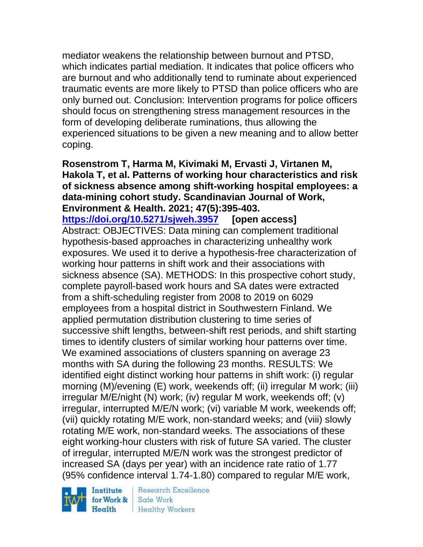mediator weakens the relationship between burnout and PTSD, which indicates partial mediation. It indicates that police officers who are burnout and who additionally tend to ruminate about experienced traumatic events are more likely to PTSD than police officers who are only burned out. Conclusion: Intervention programs for police officers should focus on strengthening stress management resources in the form of developing deliberate ruminations, thus allowing the experienced situations to be given a new meaning and to allow better coping.

**Rosenstrom T, Harma M, Kivimaki M, Ervasti J, Virtanen M, Hakola T, et al. Patterns of working hour characteristics and risk of sickness absence among shift-working hospital employees: a data-mining cohort study. Scandinavian Journal of Work, Environment & Health. 2021; 47(5):395-403.** 

**<https://doi.org/10.5271/sjweh.3957> [open access]** Abstract: OBJECTIVES: Data mining can complement traditional hypothesis-based approaches in characterizing unhealthy work exposures. We used it to derive a hypothesis-free characterization of working hour patterns in shift work and their associations with sickness absence (SA). METHODS: In this prospective cohort study, complete payroll-based work hours and SA dates were extracted from a shift-scheduling register from 2008 to 2019 on 6029 employees from a hospital district in Southwestern Finland. We applied permutation distribution clustering to time series of successive shift lengths, between-shift rest periods, and shift starting times to identify clusters of similar working hour patterns over time. We examined associations of clusters spanning on average 23 months with SA during the following 23 months. RESULTS: We identified eight distinct working hour patterns in shift work: (i) regular morning (M)/evening (E) work, weekends off; (ii) irregular M work; (iii) irregular M/E/night (N) work; (iv) regular M work, weekends off; (v) irregular, interrupted M/E/N work; (vi) variable M work, weekends off; (vii) quickly rotating M/E work, non-standard weeks; and (viii) slowly rotating M/E work, non-standard weeks. The associations of these eight working-hour clusters with risk of future SA varied. The cluster of irregular, interrupted M/E/N work was the strongest predictor of increased SA (days per year) with an incidence rate ratio of 1.77 (95% confidence interval 1.74-1.80) compared to regular M/E work,

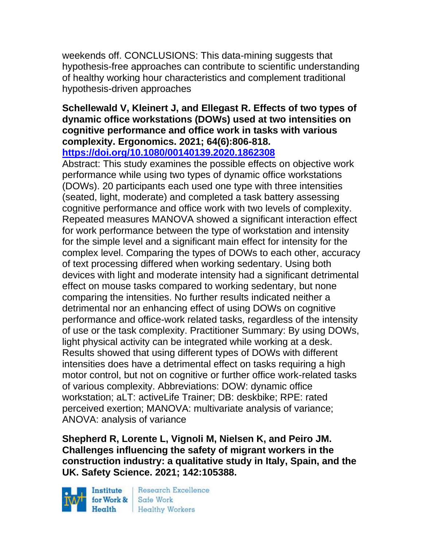weekends off. CONCLUSIONS: This data-mining suggests that hypothesis-free approaches can contribute to scientific understanding of healthy working hour characteristics and complement traditional hypothesis-driven approaches

#### **Schellewald V, Kleinert J, and Ellegast R. Effects of two types of dynamic office workstations (DOWs) used at two intensities on cognitive performance and office work in tasks with various complexity. Ergonomics. 2021; 64(6):806-818. <https://doi.org/10.1080/00140139.2020.1862308>**

Abstract: This study examines the possible effects on objective work performance while using two types of dynamic office workstations (DOWs). 20 participants each used one type with three intensities (seated, light, moderate) and completed a task battery assessing cognitive performance and office work with two levels of complexity. Repeated measures MANOVA showed a significant interaction effect for work performance between the type of workstation and intensity for the simple level and a significant main effect for intensity for the complex level. Comparing the types of DOWs to each other, accuracy of text processing differed when working sedentary. Using both devices with light and moderate intensity had a significant detrimental effect on mouse tasks compared to working sedentary, but none comparing the intensities. No further results indicated neither a detrimental nor an enhancing effect of using DOWs on cognitive performance and office-work related tasks, regardless of the intensity of use or the task complexity. Practitioner Summary: By using DOWs, light physical activity can be integrated while working at a desk. Results showed that using different types of DOWs with different intensities does have a detrimental effect on tasks requiring a high motor control, but not on cognitive or further office work-related tasks of various complexity. Abbreviations: DOW: dynamic office workstation; aLT: activeLife Trainer; DB: deskbike; RPE: rated perceived exertion; MANOVA: multivariate analysis of variance; ANOVA: analysis of variance

**Shepherd R, Lorente L, Vignoli M, Nielsen K, and Peiro JM. Challenges influencing the safety of migrant workers in the construction industry: a qualitative study in Italy, Spain, and the UK. Safety Science. 2021; 142:105388.**

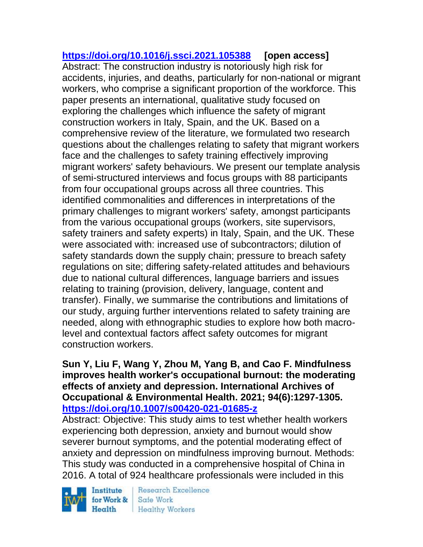**<https://doi.org/10.1016/j.ssci.2021.105388> [open access]** Abstract: The construction industry is notoriously high risk for accidents, injuries, and deaths, particularly for non-national or migrant workers, who comprise a significant proportion of the workforce. This paper presents an international, qualitative study focused on exploring the challenges which influence the safety of migrant construction workers in Italy, Spain, and the UK. Based on a comprehensive review of the literature, we formulated two research questions about the challenges relating to safety that migrant workers face and the challenges to safety training effectively improving migrant workers' safety behaviours. We present our template analysis of semi-structured interviews and focus groups with 88 participants from four occupational groups across all three countries. This identified commonalities and differences in interpretations of the primary challenges to migrant workers' safety, amongst participants from the various occupational groups (workers, site supervisors, safety trainers and safety experts) in Italy, Spain, and the UK. These were associated with: increased use of subcontractors; dilution of safety standards down the supply chain; pressure to breach safety regulations on site; differing safety-related attitudes and behaviours due to national cultural differences, language barriers and issues relating to training (provision, delivery, language, content and transfer). Finally, we summarise the contributions and limitations of our study, arguing further interventions related to safety training are needed, along with ethnographic studies to explore how both macrolevel and contextual factors affect safety outcomes for migrant construction workers.

## **Sun Y, Liu F, Wang Y, Zhou M, Yang B, and Cao F. Mindfulness improves health worker's occupational burnout: the moderating effects of anxiety and depression. International Archives of Occupational & Environmental Health. 2021; 94(6):1297-1305. <https://doi.org/10.1007/s00420-021-01685-z>**

Abstract: Objective: This study aims to test whether health workers experiencing both depression, anxiety and burnout would show severer burnout symptoms, and the potential moderating effect of anxiety and depression on mindfulness improving burnout. Methods: This study was conducted in a comprehensive hospital of China in 2016. A total of 924 healthcare professionals were included in this

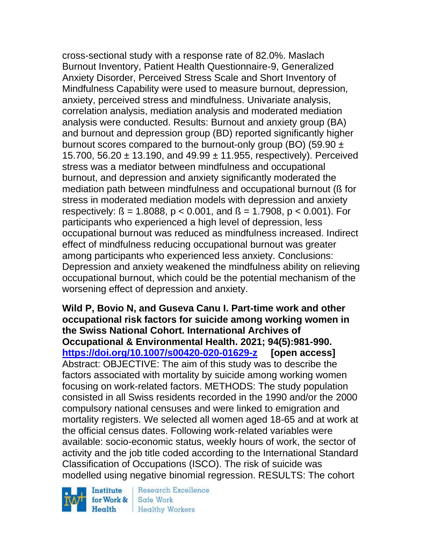cross-sectional study with a response rate of 82.0%. Maslach Burnout Inventory, Patient Health Questionnaire-9, Generalized Anxiety Disorder, Perceived Stress Scale and Short Inventory of Mindfulness Capability were used to measure burnout, depression, anxiety, perceived stress and mindfulness. Univariate analysis, correlation analysis, mediation analysis and moderated mediation analysis were conducted. Results: Burnout and anxiety group (BA) and burnout and depression group (BD) reported significantly higher burnout scores compared to the burnout-only group (BO) (59.90  $\pm$ 15.700, 56.20  $\pm$  13.190, and 49.99  $\pm$  11.955, respectively). Perceived stress was a mediator between mindfulness and occupational burnout, and depression and anxiety significantly moderated the mediation path between mindfulness and occupational burnout (ß for stress in moderated mediation models with depression and anxiety respectively:  $\beta = 1.8088$ ,  $p < 0.001$ , and  $\beta = 1.7908$ ,  $p < 0.001$ ). For participants who experienced a high level of depression, less occupational burnout was reduced as mindfulness increased. Indirect effect of mindfulness reducing occupational burnout was greater among participants who experienced less anxiety. Conclusions: Depression and anxiety weakened the mindfulness ability on relieving occupational burnout, which could be the potential mechanism of the worsening effect of depression and anxiety.

**Wild P, Bovio N, and Guseva Canu I. Part-time work and other occupational risk factors for suicide among working women in the Swiss National Cohort. International Archives of Occupational & Environmental Health. 2021; 94(5):981-990. <https://doi.org/10.1007/s00420-020-01629-z> [open access]** Abstract: OBJECTIVE: The aim of this study was to describe the factors associated with mortality by suicide among working women focusing on work-related factors. METHODS: The study population consisted in all Swiss residents recorded in the 1990 and/or the 2000 compulsory national censuses and were linked to emigration and mortality registers. We selected all women aged 18-65 and at work at the official census dates. Following work-related variables were available: socio-economic status, weekly hours of work, the sector of activity and the job title coded according to the International Standard Classification of Occupations (ISCO). The risk of suicide was modelled using negative binomial regression. RESULTS: The cohort